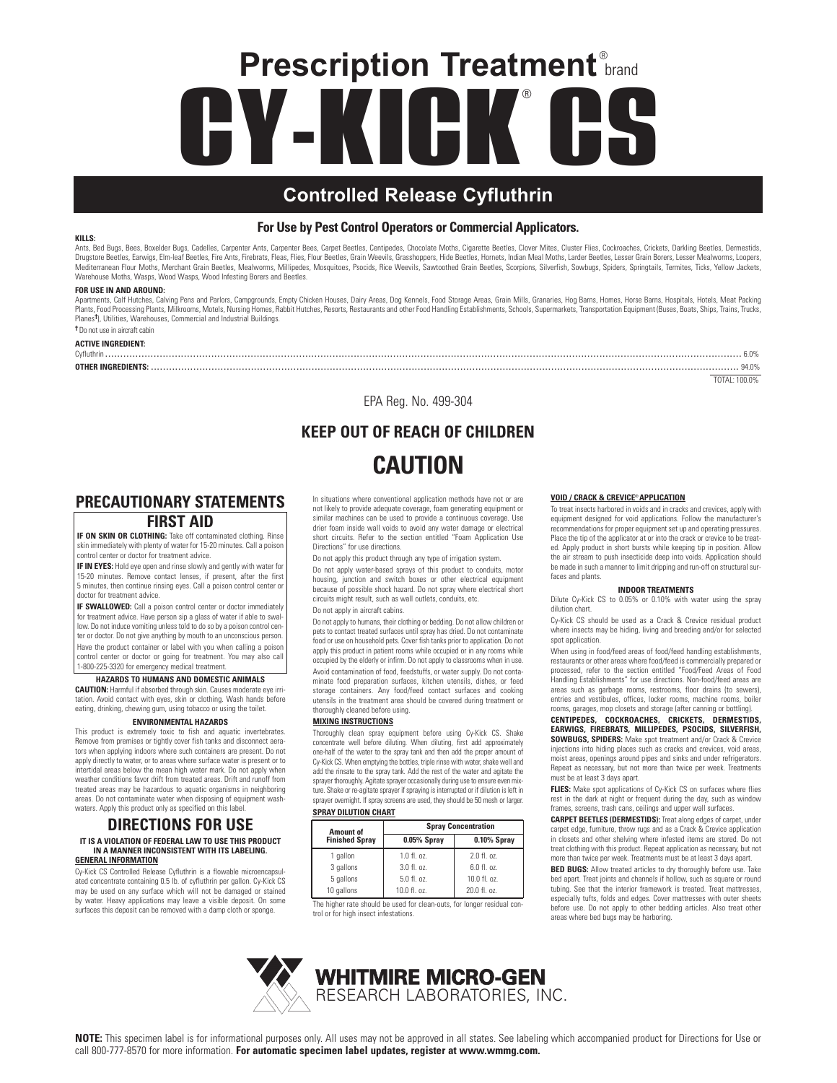# **CY-KICK CS** ® **Prescription Treatment**® brand

## **Controlled Release Cyfluthrin**

#### **For Use by Pest Control Operators or Commercial Applicators.**

#### **KILLS:**

Ants, Bed Bugs, Bess, Boxelder Bugs, Cadelles, Carpenter Ants, Carpenter Bees, Carpet Beetles, Choripedes, Chocolate Moths, Cigarette Beetles, Clover Mites, Cluster Flies, Cockroaches, Crickets, Darkling Beetles, Dermestid Warehouse Moths, Wasps, Wood Wasps, Wood Infesting Borers and Beetles.

#### **FOR USE IN AND AROUND:**

Apartments, Calf Hutches, Calving Pens and Parlors, Campgrounds, Empty Chicken Houses, Dairy Areas, Dog Kennels, Food Storage Areas, Grain Mills, Granaries, Hog Barns, Homes, Horse Barns, Hospitals, Hotels, Meat Packing Plants, Food Processing Plants, Milkrooms, Motels, Nursing Homes, Rabbit Hutches, Resorts, Restaurants and other Food Handling Establishments, Schools, Supermarkets, Transportation Equipment (Buses, Boats, Ships, Trains, T Planes**†**), Utilities, Warehouses, Commercial and Industrial Buildings.

#### **†**Do not use in aircraft cabin **ACTIVE INGREDIENT:**

Cyfluthrin .................................................................................................................................................................................................................. 6.0%

**OTHER INGREDIENTS:** .................................................................................................................................................................................................. 94.0%

TOTAL: 100.0%

EPA Reg. No. 499-304

## **KEEP OUT OF REACH OF CHILDREN CAUTION**

### **PRECAUTIONARY STATEMENTS FIRST AID**

**IF ON SKIN OR CLOTHING:** Take off contaminated clothing. Rinse skin immediately with plenty of water for 15-20 minutes. Call a poison control center or doctor for treatment advice.

**IF IN EYES:** Hold eye open and rinse slowly and gently with water for 15-20 minutes. Remove contact lenses, if present, after the first 5 minutes, then continue rinsing eyes. Call a poison control center or doctor for treatment advice.

**IF SWALLOWED:** Call a poison control center or doctor immediately for treatment advice. Have person sip a glass of water if able to swallow. Do not induce vomiting unless told to do so by a poison control center or doctor. Do not give anything by mouth to an unconscious person. Have the product container or label with you when calling a poison control center or doctor or going for treatment. You may also call 1-800-225-3320 for emergency medical treatment.

#### **HAZARDS TO HUMANS AND DOMESTIC ANIMALS**

**CAUTION:** Harmful if absorbed through skin. Causes moderate eye irritation. Avoid contact with eyes, skin or clothing. Wash hands before eating, drinking, chewing gum, using tobacco or using the toilet.

#### **ENVIRONMENTAL HAZARDS**

This product is extremely toxic to fish and aquatic invertebrates. Remove from premises or tightly cover fish tanks and disconnect aerators when applying indoors where such containers are present. Do not apply directly to water, or to areas where surface water is present or to intertidal areas below the mean high water mark. Do not apply when weather conditions favor drift from treated areas. Drift and runoff from treated areas may be hazardous to aquatic organisms in neighboring areas. Do not contaminate water when disposing of equipment washwaters. Apply this product only as specified on this label.

#### **DIRECTIONS FOR USE IT IS A VIOLATION OF FEDERAL LAW TO USE THIS PRODUCT IN A MANNER INCONSISTENT WITH ITS LABELING. GENERAL INFORMATION**

Cy-Kick CS Controlled Release Cyfluthrin is a flowable microencapsulated concentrate containing 0.5 lb. of cyfluthrin per gallon. Cy-Kick CS may be used on any surface which will not be damaged or stained by water. Heavy applications may leave a visible deposit. On some surfaces this deposit can be removed with a damp cloth or sponge.

In situations where conventional application methods have not or are not likely to provide adequate coverage, foam generating equipment or similar machines can be used to provide a continuous coverage. Use drier foam inside wall voids to avoid any water damage or electrical short circuits. Refer to the section entitled "Foam Application Use Directions" for use directions.

Do not apply this product through any type of irrigation system.

Do not apply water-based sprays of this product to conduits, motor housing, junction and switch boxes or other electrical equipment because of possible shock hazard. Do not spray where electrical short circuits might result, such as wall outlets, conduits, etc. Do not apply in aircraft cabins.

Do not apply to humans, their clothing or bedding. Do not allow children or pets to contact treated surfaces until spray has dried. Do not contaminate food or use on household pets. Cover fish tanks prior to application. Do not apply this product in patient rooms while occupied or in any rooms while occupied by the elderly or infirm. Do not apply to classrooms when in use. Avoid contamination of food, feedstuffs, or water supply. Do not contaminate food preparation surfaces, kitchen utensils, dishes, or feed storage containers. Any food/feed contact surfaces and cooking utensils in the treatment area should be covered during treatment or thoroughly cleaned before using.

#### **MIXING INSTRUCTIONS**

Thoroughly clean spray equipment before using Cy-Kick CS. Shake concentrate well before diluting. When diluting, first add approximately one-half of the water to the spray tank and then add the proper amount of Cy-Kick CS. When emptying the bottles, triple rinse with water, shake well and add the rinsate to the spray tank. Add the rest of the water and agitate the sprayer thoroughly. Agitate sprayer occasionally during use to ensure even mixture. Shake or re-agitate sprayer if spraying is interrupted or if dilution is left in sprayer overnight. If spray screens are used, they should be 50 mesh or larger. **SPRAY DILUTION CHART**

#### **Amount of Concentration**<br> **Property Finished Spray 19.05% Spray 19.10% Spray Finished Spray 0.05% Spray 0.10% Spray** 1 gallon 1.0 fl. oz. | 2.0 fl. oz 3 gallons  $\begin{array}{|c|c|c|c|c|} \hline \end{array}$  3.0 fl. oz.  $\begin{array}{|c|c|c|c|c|} \hline \end{array}$  6.0 fl. oz. 5 gallons  $\begin{array}{|c|c|c|c|} \hline \text{5.0 ft. oz.} & \text{10.0 ft. oz.} \hline \end{array}$

The higher rate should be used for clean-outs, for longer residual control or for high insect infestations. 10 gallons 10.0 fl. oz. 20.0 fl. oz

#### **VOID / CRACK & CREVICE® APPLICATION**

To treat insects harbored in voids and in cracks and crevices, apply with equipment designed for void applications. Follow the manufacturer's recommendations for proper equipment set up and operating pressures. Place the tip of the applicator at or into the crack or crevice to be treated. Apply product in short bursts while keeping tip in position. Allow the air stream to push insecticide deep into voids. Application should be made in such a manner to limit dripping and run-off on structural surfaces and plants.

#### **INDOOR TREATMENTS**

Dilute Cy-Kick CS to 0.05% or 0.10% with water using the spray dilution chart.

Cy-Kick CS should be used as a Crack & Crevice residual product where insects may be hiding, living and breeding and/or for selected spot application.

When using in food/feed areas of food/feed handling establishments, restaurants or other areas where food/feed is commercially prepared or processed, refer to the section entitled "Food/Feed Areas of Food Handling Establishments" for use directions. Non-food/feed areas are areas such as garbage rooms, restrooms, floor drains (to sewers), entries and vestibules, offices, locker rooms, machine rooms, boiler rooms, garages, mop closets and storage (after canning or bottling).

**CENTIPEDES, COCKROACHES, CRICKETS, DERMESTIDS, EARWIGS, FIREBRATS, MILLIPEDES, PSOCIDS, SILVERFISH, SOWBUGS, SPIDERS:** Make spot treatment and/or Crack & Crevice injections into hiding places such as cracks and crevices, void areas, moist areas, openings around pipes and sinks and under refrigerators. Repeat as necessary, but not more than twice per week. Treatments must be at least 3 days apart.

**FLIES:** Make spot applications of Cy-Kick CS on surfaces where flies rest in the dark at night or frequent during the day, such as window frames, screens, trash cans, ceilings and upper wall surfaces.

**CARPET BEETLES (DERMESTIDS):** Treat along edges of carpet, under carpet edge, furniture, throw rugs and as a Crack & Crevice application in closets and other shelving where infested items are stored. Do not treat clothing with this product. Repeat application as necessary, but not more than twice per week. Treatments must be at least 3 days apart.

**BED BUGS:** Allow treated articles to dry thoroughly before use. Take bed apart. Treat joints and channels if hollow, such as square or round tubing. See that the interior framework is treated. Treat mattresses, especially tufts, folds and edges. Cover mattresses with outer sheets before use. Do not apply to other bedding articles. Also treat other areas where bed bugs may be harboring.